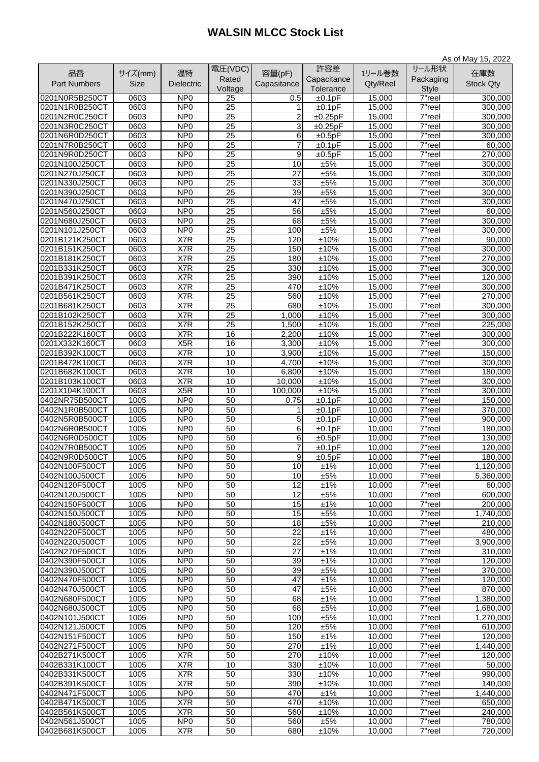## **WALSIN MLCC Stock List**

|                     |             |                               |                 |                 |             |                  |                      | As of May 15, 2022 |
|---------------------|-------------|-------------------------------|-----------------|-----------------|-------------|------------------|----------------------|--------------------|
| 品番                  | サイズ(mm)     | 温特                            | 電圧(VDC)         | 容量(pF)          | 許容差         | 1リール巻数           | リール形状                | 在庫数                |
| <b>Part Numbers</b> | <b>Size</b> | <b>Dielectric</b>             | Rated           |                 | Capacitance | Qty/Reel         | Packaging            |                    |
|                     |             |                               | Voltage         | Capasitance     | Tolerance   |                  | <b>Style</b>         | <b>Stock Qty</b>   |
| 0201N0R5B250CT      | 0603        | NP <sub>0</sub>               | 25              | 0.5             | ±0.1pF      | 15,000           | 7"reel               | 300,000            |
| 0201N1R0B250CT      | 0603        | NP <sub>0</sub>               | 25              | 1               | ±0.1pF      | 15,000           | $\overline{7}$ "reel | 300,000            |
| 0201N2R0C250CT      | 0603        | NP <sub>0</sub>               | 25              | 2               | ±0.25pF     | 15,000           | 7"reel               | 300,000            |
| 0201N3R0C250CT      | 0603        | NP <sub>0</sub>               | 25              | 3               | ±0.25pF     | 15,000           | 7"reel               | 300,000            |
| 0201N6R0D250CT      | 0603        | NP <sub>0</sub>               | 25              | 6               | ±0.5pF      | 15,000           | $\overline{7}$ "reel | 300,000            |
| 0201N7R0B250CT      | 0603        | NP <sub>0</sub>               | $\overline{25}$ | $\overline{7}$  | ±0.1pF      | 15,000           | $7$ "reel            | 60,000             |
| 0201N9R0D250CT      | 0603        | NP <sub>0</sub>               | 25              | 9               | ±0.5pF      | 15,000           | $\overline{7}$ "reel | 270,000            |
| 0201N100J250CT      | 0603        | NP <sub>0</sub>               | 25              | 10              | ±5%         | 15,000           | $7"$ reel            | 300,000            |
| 0201N270J250CT      | 0603        | NP <sub>0</sub>               | $\overline{25}$ | $\overline{27}$ | ±5%         | 15,000           | 7"reel               | 300,000            |
| 0201N330J250CT      | 0603        | NP <sub>0</sub>               | 25              | 33              | ±5%         | 15,000           | $\overline{7}$ "reel | 300,000            |
| 0201N390J250CT      | 0603        | NP <sub>0</sub>               | 25              | 39              | ±5%         | 15,000           | $\overline{7}$ "reel | 300,000            |
| 0201N470J250CT      | 0603        | NP <sub>0</sub>               | $\overline{25}$ | $\overline{47}$ | ±5%         | 15,000           | $7$ "reel            | 300,000            |
| 0201N560J250CT      | 0603        | NP <sub>0</sub>               | 25              | 56              | ±5%         | 15,000           | 7"reel               | 60,000             |
| 0201N680J250CT      | 0603        | NP <sub>0</sub>               | 25              | 68              | ±5%         | 15,000           | 7"reel               | 300,000            |
| 0201N101J250CT      | 0603        | NP <sub>0</sub>               | 25              | 100             | ±5%         | 15,000           | 7"reel               | 300,000            |
| 0201B121K250CT      | 0603        | X7R                           | 25              | 120             | ±10%        | 15,000           | $\overline{7}$ "reel | 90,000             |
| 0201B151K250CT      | 0603        | X7R                           | 25              |                 |             |                  | $\overline{7}$ "reel | 300,000            |
| 0201B181K250CT      |             |                               |                 | 150             | ±10%        | 15,000           |                      |                    |
|                     | 0603        | X7R                           | 25              | 180             | ±10%        | 15,000           | $\overline{7}$ "reel | 270,000            |
| 0201B331K250CT      | 0603        | X7R                           | 25              | 330             | ±10%        | 15,000           | $\overline{7}$ "reel | 300,000            |
| 0201B391K250CT      | 0603        | X7R                           | 25              | 390             | ±10%        | 15,000           | $\overline{7}$ "reel | 120,000            |
| 0201B471K250CT      | 0603        | X7R                           | 25              | 470             | ±10%        | 15,000           | 7"reel               | 300,000            |
| 0201B561K250CT      | 0603        | X7R                           | 25              | 560             | ±10%        | 15,000           | 7"reel               | 270,000            |
| 0201B681K250CT      | 0603        | X7R                           | 25              | 680             | ±10%        | 15,000           | 7"reel               | 300,000            |
| 0201B102K250CT      | 0603        | X7R                           | 25              | 1,000           | ±10%        | 15,000           | 7"reel               | 300,000            |
| 0201B152K250CT      | 0603        | X7R                           | 25              | 1,500           | ±10%        | 15,000           | 7"reel               | 225,000            |
| 0201B222K160CT      | 0603        | $\overline{X}$ <sub>7</sub> R | 16              | 2,200           | ±10%        | 15,000           | 7"reel               | 300,000            |
| 0201X332K160CT      | 0603        | X <sub>5</sub> R              | 16              | 3,300           | ±10%        | 15,000           | 7"reel               | 300,000            |
| 0201B392K100CT      | 0603        | X7R                           | 10              | 3,900           | ±10%        | 15,000           | 7"reel               | 150,000            |
| 0201B472K100CT      | 0603        | X7R                           | 10              | 4,700           | ±10%        | 15,000           | 7"reel               | 300,000            |
| 0201B682K100CT      | 0603        | X7R                           | 10              | 6,800           | ±10%        | 15,000           | 7"reel               | 180,000            |
| 0201B103K100CT      | 0603        | X7R                           | 10              | 10,000          | ±10%        | 15,000           | 7"reel               | 300,000            |
| 0201X104K100CT      | 0603        | X <sub>5</sub> R              | 10              | 100,000         | ±10%        | 15,000           | 7"reel               | 300,000            |
| 0402NR75B500CT      | 1005        | NP <sub>0</sub>               | 50              | 0.75            | ±0.1pF      | 10,000           | 7"reel               | 150,000            |
| 0402N1R0B500CT      | 1005        | NP <sub>0</sub>               | 50              | 1.              | ±0.1pF      | 10,000           | 7"reel               | 370,000            |
| 0402N5R0B500CT      | 1005        | NP <sub>0</sub>               | 50              | 5               | ±0.1pF      | 10,000           | $\overline{7}$ "reel | 900,000            |
| 0402N6R0B500CT      | 1005        | NP <sub>0</sub>               | 50              | 6               | ±0.1pF      | 10,000           | 7"reel               | 180,000            |
| 0402N6R0D500CT      | 1005        | NP <sub>0</sub>               | 50              | 6               | ±0.5pF      | 10,000           | 7"reel               | 130,000            |
| 0402N7R0B500CT      | 1005        | NP <sub>0</sub>               | 50              | $\overline{7}$  | ±0.1pF      | 10,000           | 7"reel               | 120,000            |
| 0402N9R0D500CT      | 1005        | NP <sub>0</sub>               | 50              | 9               | ±0.5pF      | 10,000           | 7"reel               | 180,000            |
| 0402N100F500CT      | 1005        | NP <sub>0</sub>               | 50              | 10              | ±1%         | 10,000           | 7"reel               | 1,120,000          |
| 0402N100J500CT      | 1005        | NP <sub>0</sub>               | 50              | 10              | ±5%         | 10,000           | 7"reel               | 5,360,000          |
| 0402N120F500CT      | 1005        | NP <sub>0</sub>               | 50              | 12              | ±1%         | 10,000           | $\overline{7}$ "reel | 60,000             |
| 0402N120J500CT      | 1005        | N <sub>P</sub>                | 50              | $\overline{12}$ | ±5%         | 10,000           | $7$ "reel            | 600,000            |
| 0402N150F500CT      | 1005        | NP <sub>0</sub>               | 50              | $\overline{15}$ | ±1%         | 10,000           | 7"reel               | 200,000            |
| 0402N150J500CT      | 1005        | NP <sub>0</sub>               | 50              | $\overline{15}$ |             |                  |                      |                    |
|                     | 1005        | NP <sub>0</sub>               | 50              | $\overline{18}$ | ±5%         | 10,000<br>10,000 | 7"reel               | 1,740,000          |
| 0402N180J500CT      |             |                               |                 |                 | ±5%         |                  | 7"reel               | 210,000            |
| 0402N220F500CT      | 1005        | NP <sub>0</sub>               | 50              | 22              | ±1%         | 10,000           | 7"reel               | 480,000            |
| 0402N220J500CT      | 1005        | NP <sub>0</sub>               | 50              | 22              | ±5%         | 10,000           | 7"reel               | 3,900,000          |
| 0402N270F500CT      | 1005        | NP <sub>0</sub>               | 50              | $\overline{27}$ | ±1%         | 10,000           | 7"reel               | 310,000            |
| 0402N390F500CT      | 1005        | NP <sub>0</sub>               | 50              | 39              | ±1%         | 10,000           | 7"reel               | 120,000            |
| 0402N390J500CT      | 1005        | NP <sub>0</sub>               | 50              | 39              | ±5%         | 10,000           | 7"reel               | 370,000            |
| 0402N470F500CT      | 1005        | NP <sub>0</sub>               | 50              | 47              | ±1%         | 10,000           | $\overline{7}$ "reel | 120,000            |
| 0402N470J500CT      | 1005        | NP <sub>0</sub>               | 50              | 47              | ±5%         | 10,000           | 7"reel               | 870,000            |
| 0402N680F500CT      | 1005        | NP <sub>0</sub>               | 50              | 68              | ±1%         | 10,000           | 7"reel               | 1,380,000          |
| 0402N680J500CT      | 1005        | NP <sub>0</sub>               | $\overline{50}$ | 68              | ±5%         | 10,000           | 7"reel               | 1,680,000          |
| 0402N101J500CT      | 1005        | NP <sub>0</sub>               | 50              | 100             | ±5%         | 10,000           | 7"reel               | 1,270,000          |
| 0402N121J500CT      | 1005        | NP <sub>0</sub>               | 50              | 120             | ±5%         | 10,000           | 7"reel               | 610,000            |
| 0402N151F500CT      | 1005        | NP <sub>0</sub>               | 50              | 150             | ±1%         | 10,000           | 7"reel               | 120,000            |
| 0402N271F500CT      | 1005        | NP <sub>0</sub>               | 50              | 270             | ±1%         | 10,000           | 7"reel               | 1,440,000          |
| 0402B271K500CT      | 1005        | X7R                           | 50              | 270             | ±10%        | 10,000           | $\overline{7}$ "reel | 120,000            |
| 0402B331K100CT      | 1005        | X7R                           | 10              | 330             | ±10%        | 10,000           | 7"reel               | 50,000             |
| 0402B331K500CT      | 1005        | X7R                           | 50              | 330             | ±10%        | 10,000           | 7"reel               | 990,000            |
| 0402B391K500CT      | 1005        | X7R                           | 50              | 390             | ±10%        | 10,000           | 7"reel               | 140,000            |
| 0402N471F500CT      | 1005        | NP <sub>0</sub>               | 50              | 470             | ±1%         | 10,000           | 7"reel               | 1,440,000          |
| 0402B471K500CT      | 1005        | X7R                           | 50              | 470             | ±10%        | 10,000           | 7"reel               | 650,000            |
| 0402B561K500CT      | 1005        | X7R                           | 50              | 560             | ±10%        | 10,000           | $\overline{7}$ "reel | 240,000            |
| 0402N561J500CT      | 1005        | NP <sub>0</sub>               | 50              | 560             | ±5%         | 10,000           | 7"reel               | 780,000            |
| 0402B681K500CT      | 1005        | X7R                           | 50              | 680             | ±10%        | 10,000           | 7"reel               | 720,000            |
|                     |             |                               |                 |                 |             |                  |                      |                    |